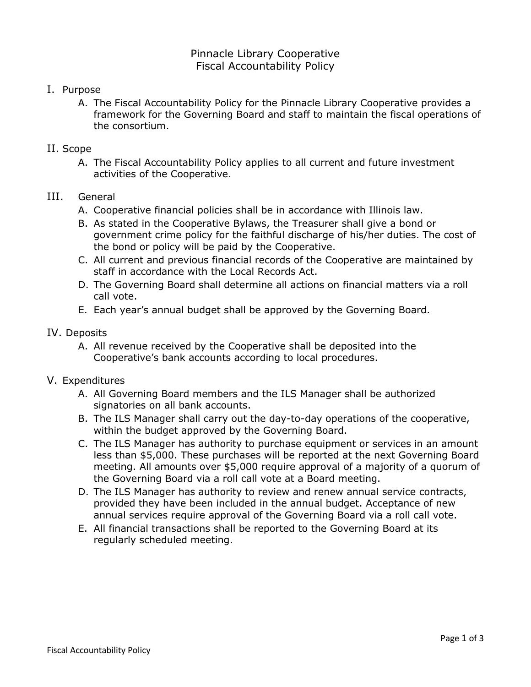# Pinnacle Library Cooperative Fiscal Accountability Policy

- I. Purpose
	- A. The Fiscal Accountability Policy for the Pinnacle Library Cooperative provides a framework for the Governing Board and staff to maintain the fiscal operations of the consortium.

### II. Scope

A. The Fiscal Accountability Policy applies to all current and future investment activities of the Cooperative.

### III. General

- A. Cooperative financial policies shall be in accordance with Illinois law.
- B. As stated in the Cooperative Bylaws, the Treasurer shall give a bond or government crime policy for the faithful discharge of his/her duties. The cost of the bond or policy will be paid by the Cooperative.
- C. All current and previous financial records of the Cooperative are maintained by staff in accordance with the Local Records Act.
- D. The Governing Board shall determine all actions on financial matters via a roll call vote.
- E. Each year's annual budget shall be approved by the Governing Board.

### IV. Deposits

A. All revenue received by the Cooperative shall be deposited into the Cooperative's bank accounts according to local procedures.

### V. Expenditures

- A. All Governing Board members and the ILS Manager shall be authorized signatories on all bank accounts.
- B. The ILS Manager shall carry out the day-to-day operations of the cooperative, within the budget approved by the Governing Board.
- C. The ILS Manager has authority to purchase equipment or services in an amount less than \$5,000. These purchases will be reported at the next Governing Board meeting. All amounts over \$5,000 require approval of a majority of a quorum of the Governing Board via a roll call vote at a Board meeting.
- D. The ILS Manager has authority to review and renew annual service contracts, provided they have been included in the annual budget. Acceptance of new annual services require approval of the Governing Board via a roll call vote.
- E. All financial transactions shall be reported to the Governing Board at its regularly scheduled meeting.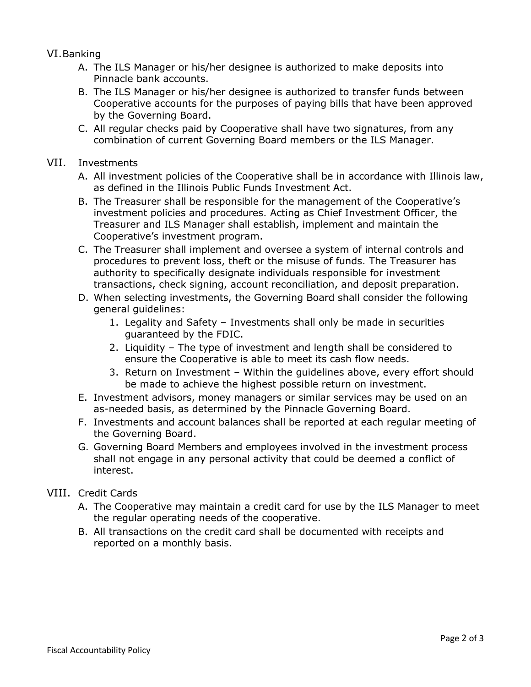VI.Banking

- A. The ILS Manager or his/her designee is authorized to make deposits into Pinnacle bank accounts.
- B. The ILS Manager or his/her designee is authorized to transfer funds between Cooperative accounts for the purposes of paying bills that have been approved by the Governing Board.
- C. All regular checks paid by Cooperative shall have two signatures, from any combination of current Governing Board members or the ILS Manager.
- VII. Investments
	- A. All investment policies of the Cooperative shall be in accordance with Illinois law, as defined in the Illinois Public Funds Investment Act.
	- B. The Treasurer shall be responsible for the management of the Cooperative's investment policies and procedures. Acting as Chief Investment Officer, the Treasurer and ILS Manager shall establish, implement and maintain the Cooperative's investment program.
	- C. The Treasurer shall implement and oversee a system of internal controls and procedures to prevent loss, theft or the misuse of funds. The Treasurer has authority to specifically designate individuals responsible for investment transactions, check signing, account reconciliation, and deposit preparation.
	- D. When selecting investments, the Governing Board shall consider the following general guidelines:
		- 1. Legality and Safety Investments shall only be made in securities guaranteed by the FDIC.
		- 2. Liquidity The type of investment and length shall be considered to ensure the Cooperative is able to meet its cash flow needs.
		- 3. Return on Investment Within the guidelines above, every effort should be made to achieve the highest possible return on investment.
	- E. Investment advisors, money managers or similar services may be used on an as-needed basis, as determined by the Pinnacle Governing Board.
	- F. Investments and account balances shall be reported at each regular meeting of the Governing Board.
	- G. Governing Board Members and employees involved in the investment process shall not engage in any personal activity that could be deemed a conflict of interest.
- VIII. Credit Cards
	- A. The Cooperative may maintain a credit card for use by the ILS Manager to meet the regular operating needs of the cooperative.
	- B. All transactions on the credit card shall be documented with receipts and reported on a monthly basis.